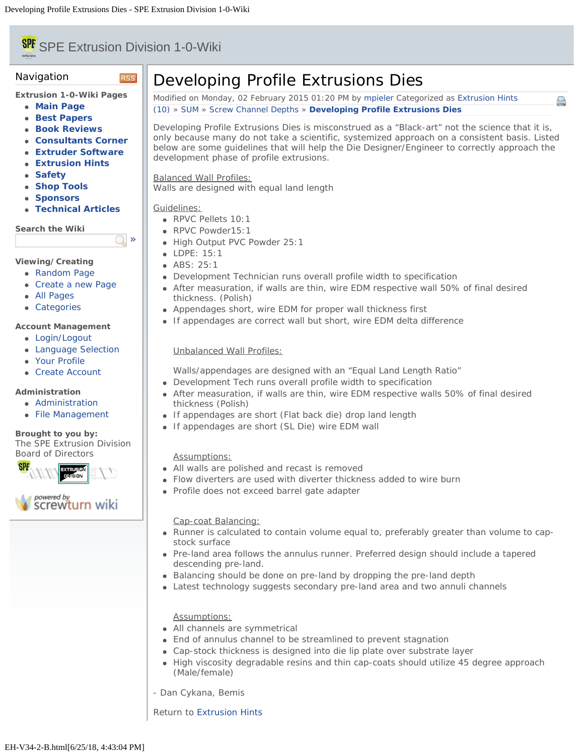### <span id="page-0-0"></span>**SPE** SPE Extrusion Division 1-0-Wiki EXTRUSION

**RSS** 

 $\Box$ 

# Navigation

**Extrusion 1-0-Wiki Pages**

- **[Main Page](file:///Users/spe/websites/Extrusion%20Hints/extrusionwiki.com/wiki/MainPage.html)**
- **[Best Papers](file:///Users/spe/websites/Extrusion%20Hints/extrusionwiki.com/wiki/BestPapers.html)**
- **[Book Reviews](file:///Users/spe/websites/Extrusion%20Hints/extrusionwiki.com/wiki/BookReviews.html)**
- **[Consultants Corner](file:///Users/spe/websites/Extrusion%20Hints/extrusionwiki.com/wiki/ConsultantsCorner.html)**
- **[Extruder Software](file:///Users/spe/websites/Extrusion%20Hints/extrusionwiki.com/wiki/ExtruderSoftware.html)**
- **[Extrusion Hints](file:///Users/spe/websites/Extrusion%20Hints/extrusionwiki.com/wiki/ExtrusionHints.html)**
- **[Safety](file:///Users/spe/websites/Extrusion%20Hints/extrusionwiki.com/wiki/Safety.html)**
- **[Shop Tools](file:///Users/spe/websites/Extrusion%20Hints/extrusionwiki.com/wiki/ShopTools.html)**
- **[Sponsors](file:///Users/spe/websites/Extrusion%20Hints/extrusionwiki.com/wiki/SponsorsMain.html)**
- **[Technical Articles](file:///Users/spe/websites/Extrusion%20Hints/extrusionwiki.com/wiki/POTM.html)**

**Search the Wiki**

# **Viewing/Creating**

- [Random Page](file:///Users/spe/websites/Extrusion%20Hints/extrusionwiki.com/wiki/EH-V22-2-G.html)
- [Create a new Page](file:///Users/spe/websites/Extrusion%20Hints/extrusionwiki.com/wiki/Login1c96.html)
- [All Pages](file:///Users/spe/websites/Extrusion%20Hints/extrusionwiki.com/wiki/AllPages.html)
- [Categories](file:///Users/spe/websites/Extrusion%20Hints/extrusionwiki.com/wiki/Category.html)

# **Account Management**

- [Login/Logout](file:///Users/spe/websites/Extrusion%20Hints/extrusionwiki.com/wiki/Login.html)
- [Language Selection](file:///Users/spe/websites/Extrusion%20Hints/extrusionwiki.com/wiki/Language.html)
- [Your Profile](file:///Users/spe/websites/Extrusion%20Hints/extrusionwiki.com/wiki/Login4c84.html)
- [Create Account](file:///Users/spe/websites/Extrusion%20Hints/extrusionwiki.com/wiki/Register.html)

# **Administration**

- [Administration](file:///Users/spe/websites/Extrusion%20Hints/extrusionwiki.com/wiki/Login2fcc.html)
- [File Management](file:///Users/spe/websites/Extrusion%20Hints/extrusionwiki.com/wiki/Upload.html)

#### **Brought to you by:** The SPE Extrusion Division [Board of Directors](file:///Users/spe/websites/Extrusion%20Hints/extrusion.4spe.org/index.html)



# Developing Profile Extrusions Dies

Modified on Monday, 02 February 2015 01:20 PM by [mpieler](file:///Users/spe/websites/Extrusion%20Hints/extrusionwiki.com/wiki/User67ec.html?Username=mpieler) Categorized as [Extrusion Hints](file:///Users/spe/websites/Extrusion%20Hints/extrusionwiki.com/wiki/AllPages019f.html?Cat=Extrusion%20Hints) [\(10\)](#page-0-0) » [SUM](file:///Users/spe/websites/Extrusion%20Hints/extrusionwiki.com/wiki/EH-V34-2-D.html) » [Screw Channel Depths](file:///Users/spe/websites/Extrusion%20Hints/extrusionwiki.com/wiki/EH-V34-2-E.html) » **[Developing Profile Extrusions Dies](#page-0-0)**

Developing Profile Extrusions Dies is misconstrued as a "Black-art" not the science that it is, only because many do not take a scientific, systemized approach on a consistent basis. Listed below are some guidelines that will help the Die Designer/Engineer to correctly approach the development phase of profile extrusions.

e

Balanced Wall Profiles:

Walls are designed with equal land length

# Guidelines:

- RPVC Pellets 10:1
- RPVC Powder15:1
- High Output PVC Powder 25:1
- LDPE: 15:1
- **ABS: 25:1**
- Development Technician runs overall profile width to specification
- After measuration, if walls are thin, wire EDM respective wall 50% of final desired thickness. (Polish)
- Appendages short, wire EDM for proper wall thickness first
- If appendages are correct wall but short, wire EDM delta difference

# Unbalanced Wall Profiles:

- Walls/appendages are designed with an "Equal Land Length Ratio"
- Development Tech runs overall profile width to specification
- After measuration, if walls are thin, wire EDM respective walls 50% of final desired thickness (Polish)
- If appendages are short (Flat back die) drop land length
- If appendages are short (SL Die) wire EDM wall

# Assumptions:

- All walls are polished and recast is removed
- Flow diverters are used with diverter thickness added to wire burn
- Profile does not exceed barrel gate adapter

### Cap-coat Balancing:

- Runner is calculated to contain volume equal to, preferably greater than volume to capstock surface
- Pre-land area follows the annulus runner. Preferred design should include a tapered descending pre-land.
- Balancing should be done on pre-land by dropping the pre-land depth
- Latest technology suggests secondary pre-land area and two annuli channels

# Assumptions:

- All channels are symmetrical
- End of annulus channel to be streamlined to prevent stagnation
- Cap-stock thickness is designed into die lip plate over substrate layer
- High viscosity degradable resins and thin cap-coats should utilize 45 degree approach (Male/female)
- Dan Cykana, Bemis

Return to [Extrusion Hints](file:///Users/spe/websites/Extrusion%20Hints/extrusionwiki.com/wiki/ExtrusionHints.html)